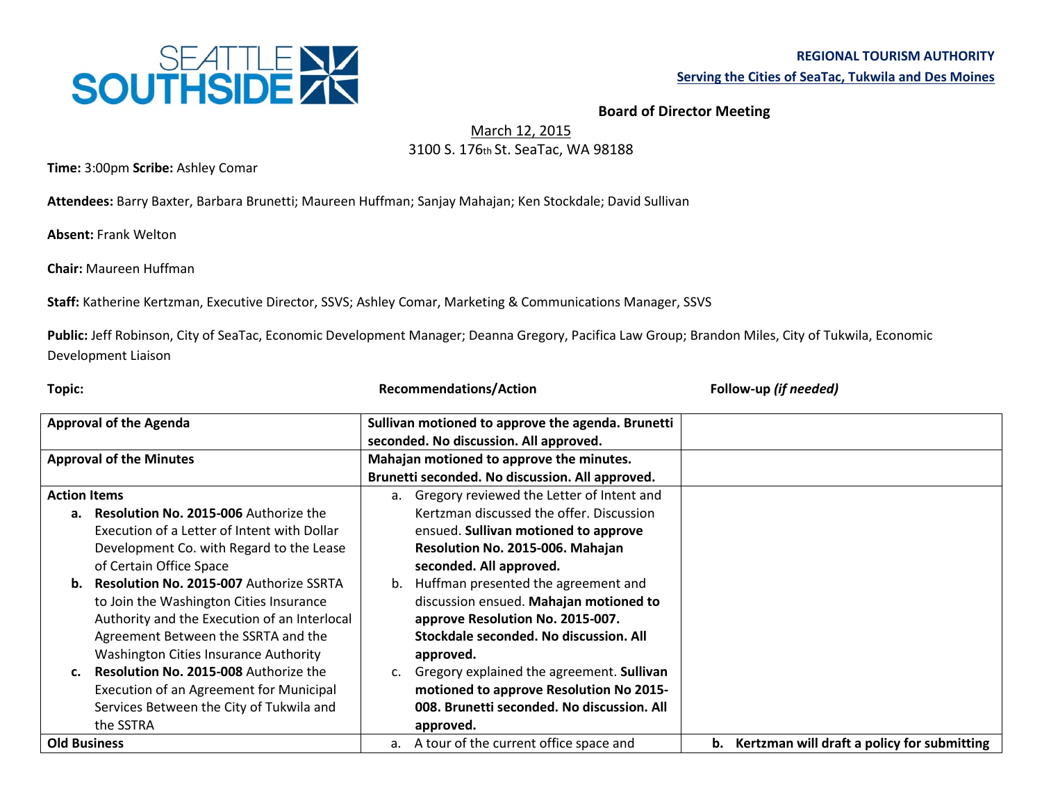

**Board of Director Meeting**

March 12, 2015

3100 S. 176th St. SeaTac, WA 98188

**Time:** 3:00pm **Scribe:** Ashley Comar

**Attendees:** Barry Baxter, Barbara Brunetti; Maureen Huffman; Sanjay Mahajan; Ken Stockdale; David Sullivan

**Absent:** Frank Welton

**Chair:** Maureen Huffman

**Staff:** Katherine Kertzman, Executive Director, SSVS; Ashley Comar, Marketing & Communications Manager, SSVS

**Public:** Jeff Robinson, City of SeaTac, Economic Development Manager; Deanna Gregory, Pacifica Law Group; Brandon Miles, City of Tukwila, Economic Development Liaison

| Topic:                         |                                                | <b>Recommendations/Action</b>                                                               |                                                 | Follow-up (if needed)                          |
|--------------------------------|------------------------------------------------|---------------------------------------------------------------------------------------------|-------------------------------------------------|------------------------------------------------|
| <b>Approval of the Agenda</b>  |                                                | Sullivan motioned to approve the agenda. Brunetti<br>seconded. No discussion. All approved. |                                                 |                                                |
| <b>Approval of the Minutes</b> |                                                | Mahajan motioned to approve the minutes.                                                    |                                                 |                                                |
|                                |                                                |                                                                                             | Brunetti seconded. No discussion. All approved. |                                                |
| <b>Action Items</b>            |                                                |                                                                                             | a. Gregory reviewed the Letter of Intent and    |                                                |
|                                | a. Resolution No. 2015-006 Authorize the       |                                                                                             | Kertzman discussed the offer. Discussion        |                                                |
|                                | Execution of a Letter of Intent with Dollar    |                                                                                             | ensued. Sullivan motioned to approve            |                                                |
|                                | Development Co. with Regard to the Lease       |                                                                                             | Resolution No. 2015-006. Mahajan                |                                                |
|                                | of Certain Office Space                        |                                                                                             | seconded. All approved.                         |                                                |
| b.                             | <b>Resolution No. 2015-007 Authorize SSRTA</b> | b.                                                                                          | Huffman presented the agreement and             |                                                |
|                                | to Join the Washington Cities Insurance        |                                                                                             | discussion ensued. Mahajan motioned to          |                                                |
|                                | Authority and the Execution of an Interlocal   |                                                                                             | approve Resolution No. 2015-007.                |                                                |
|                                | Agreement Between the SSRTA and the            |                                                                                             | Stockdale seconded. No discussion. All          |                                                |
|                                | <b>Washington Cities Insurance Authority</b>   |                                                                                             | approved.                                       |                                                |
| c.                             | <b>Resolution No. 2015-008 Authorize the</b>   | c.                                                                                          | Gregory explained the agreement. Sullivan       |                                                |
|                                | <b>Execution of an Agreement for Municipal</b> |                                                                                             | motioned to approve Resolution No 2015-         |                                                |
|                                | Services Between the City of Tukwila and       |                                                                                             | 008. Brunetti seconded. No discussion. All      |                                                |
|                                | the SSTRA                                      |                                                                                             | approved.                                       |                                                |
| <b>Old Business</b>            |                                                | a.                                                                                          | A tour of the current office space and          | b. Kertzman will draft a policy for submitting |